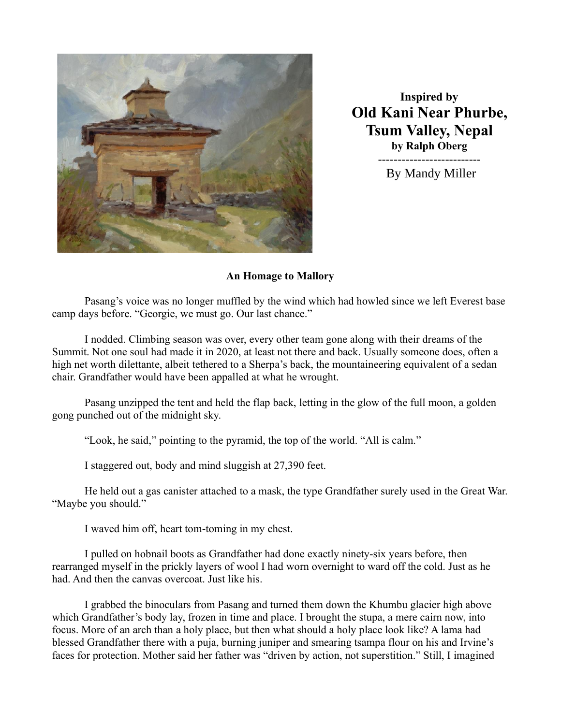

**Inspired by Old Kani Near Phurbe, Tsum Valley, Nepal by Ralph Oberg** --------------------------

By Mandy Miller

## **An Homage to Mallory**

Pasang's voice was no longer muffled by the wind which had howled since we left Everest base camp days before. "Georgie, we must go. Our last chance."

I nodded. Climbing season was over, every other team gone along with their dreams of the Summit. Not one soul had made it in 2020, at least not there and back. Usually someone does, often a high net worth dilettante, albeit tethered to a Sherpa's back, the mountaineering equivalent of a sedan chair. Grandfather would have been appalled at what he wrought.

Pasang unzipped the tent and held the flap back, letting in the glow of the full moon, a golden gong punched out of the midnight sky.

"Look, he said," pointing to the pyramid, the top of the world. "All is calm."

I staggered out, body and mind sluggish at 27,390 feet.

He held out a gas canister attached to a mask, the type Grandfather surely used in the Great War. "Maybe you should."

I waved him off, heart tom-toming in my chest.

I pulled on hobnail boots as Grandfather had done exactly ninety-six years before, then rearranged myself in the prickly layers of wool I had worn overnight to ward off the cold. Just as he had. And then the canvas overcoat. Just like his.

I grabbed the binoculars from Pasang and turned them down the Khumbu glacier high above which Grandfather's body lay, frozen in time and place. I brought the stupa, a mere cairn now, into focus. More of an arch than a holy place, but then what should a holy place look like? A lama had blessed Grandfather there with a puja, burning juniper and smearing tsampa flour on his and Irvine's faces for protection. Mother said her father was "driven by action, not superstition." Still, I imagined